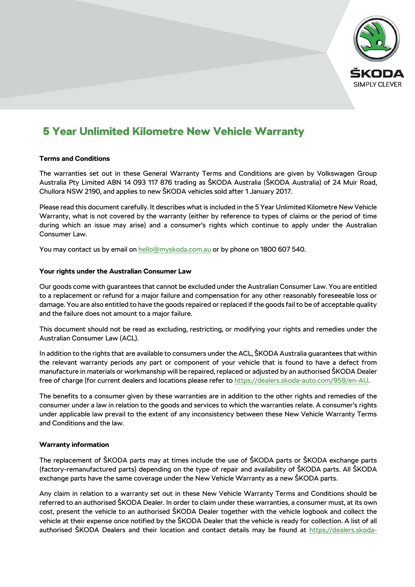

# 5 Year Unlimited Kilometre New Vehicle Warranty

# **Terms and Conditions**

The warranties set out in these General Warranty Terms and Conditions are given by Volkswagen Group Australia Pty Limited ABN 14 093 117 876 trading as ŠKODA Australia (ŠKODA Australia) of 24 Muir Road, Chullora NSW 2190, and applies to new ŠKODA vehicles sold after 1 January 2017.

Please read this document carefully. It describes what is included in the 5 Year Unlimited Kilometre New Vehicle Warranty, what is not covered by the warranty (either by reference to types of claims or the period of time during which an issue may arise) and a consumer's rights which continue to apply under the Australian Consumer Law.

You may contact us by email on [hello@myskoda.com.au](mailto:hello@myskoda.com.au) or by phone on 1800 607 540.

# **Your rights under the Australian Consumer Law**

Our goods come with guarantees that cannot be excluded under the Australian Consumer Law. You are entitled to a replacement or refund for a major failure and compensation for any other reasonably foreseeable loss or damage. You are also entitled to have the goods repaired or replaced if the goods fail to be of acceptable quality and the failure does not amount to a major failure.

This document should not be read as excluding, restricting, or modifying your rights and remedies under the Australian Consumer Law (ACL).

In addition to the rights that are available to consumers under the ACL, ŠKODA Australia guarantees that within the relevant warranty periods any part or component of your vehicle that is found to have a defect from manufacture in materials or workmanship will be repaired, replaced or adjusted by an authorised ŠKODA Dealer free of charge (for current dealers and locations please refer to [https://dealers.skoda-auto.com/959/en-AU.](https://dealers.skoda-auto.com/959/en-AU)

The benefits to a consumer given by these warranties are in addition to the other rights and remedies of the consumer under a law in relation to the goods and services to which the warranties relate. A consumer's rights under applicable law prevail to the extent of any inconsistency between these New Vehicle Warranty Terms and Conditions and the law.

## **Warranty information**

The replacement of ŠKODA parts may at times include the use of ŠKODA parts or ŠKODA exchange parts (factory-remanufactured parts) depending on the type of repair and availability of ŠKODA parts. All ŠKODA exchange parts have the same coverage under the New Vehicle Warranty as a new ŠKODA parts.

Any claim in relation to a warranty set out in these New Vehicle Warranty Terms and Conditions should be referred to an authorised ŠKODA Dealer. In order to claim under these warranties, a consumer must, at its own cost, present the vehicle to an authorised ŠKODA Dealer together with the vehicle logbook and collect the vehicle at their expense once notified by the ŠKODA Dealer that the vehicle is ready for collection. A list of all authorised ŠKODA Dealers and their location and contact details may be found at [https://dealers.skoda-](https://dealers.skoda-auto.com/959/en-AU)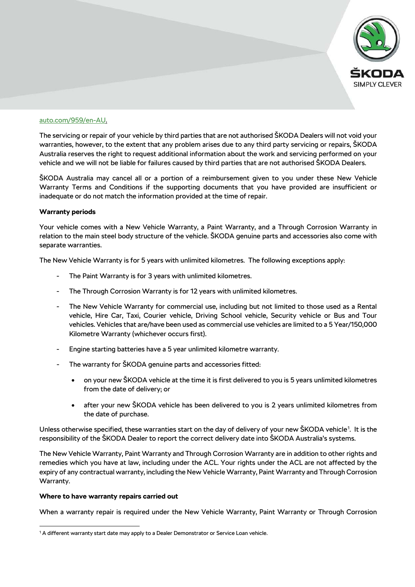

# [auto.com/959/en-AU.](https://dealers.skoda-auto.com/959/en-AU)

The servicing or repair of your vehicle by third parties that are not authorised ŠKODA Dealers will not void your warranties, however, to the extent that any problem arises due to any third party servicing or repairs, ŠKODA Australia reserves the right to request additional information about the work and servicing performed on your vehicle and we will not be liable for failures caused by third parties that are not authorised ŠKODA Dealers.

ŠKODA Australia may cancel all or a portion of a reimbursement given to you under these New Vehicle Warranty Terms and Conditions if the supporting documents that you have provided are insufficient or inadequate or do not match the information provided at the time of repair.

#### **Warranty periods**

Your vehicle comes with a New Vehicle Warranty, a Paint Warranty, and a Through Corrosion Warranty in relation to the main steel body structure of the vehicle. ŠKODA genuine parts and accessories also come with separate warranties.

The New Vehicle Warranty is for 5 years with unlimited kilometres. The following exceptions apply:

- The Paint Warranty is for 3 years with unlimited kilometres.
- The Through Corrosion Warranty is for 12 years with unlimited kilometres.
- The New Vehicle Warranty for commercial use, including but not limited to those used as a Rental vehicle, Hire Car, Taxi, Courier vehicle, Driving School vehicle, Security vehicle or Bus and Tour vehicles. Vehicles that are/have been used as commercial use vehicles are limited to a 5 Year/150,000 Kilometre Warranty (whichever occurs first).
- Engine starting batteries have a 5 year unlimited kilometre warranty.
- The warranty for ŠKODA genuine parts and accessories fitted:
	- on your new ŠKODA vehicle at the time it is first delivered to you is 5 years unlimited kilometres from the date of delivery; or
	- after your new ŠKODA vehicle has been delivered to you is 2 years unlimited kilometres from the date of purchase.

Unless otherwise specified, these warranties start on the day of delivery of your new ŠKODA vehicle[1](#page-1-0) . It is the responsibility of the ŠKODA Dealer to report the correct delivery date into ŠKODA Australia's systems.

The New Vehicle Warranty, Paint Warranty and Through Corrosion Warranty are in addition to other rights and remedies which you have at law, including under the ACL. Your rights under the ACL are not affected by the expiry of any contractual warranty, including the New Vehicle Warranty, Paint Warranty and Through Corrosion Warranty.

#### **Where to have warranty repairs carried out**

l

When a warranty repair is required under the New Vehicle Warranty, Paint Warranty or Through Corrosion

<span id="page-1-0"></span><sup>&</sup>lt;sup>1</sup> A different warranty start date may apply to a Dealer Demonstrator or Service Loan vehicle.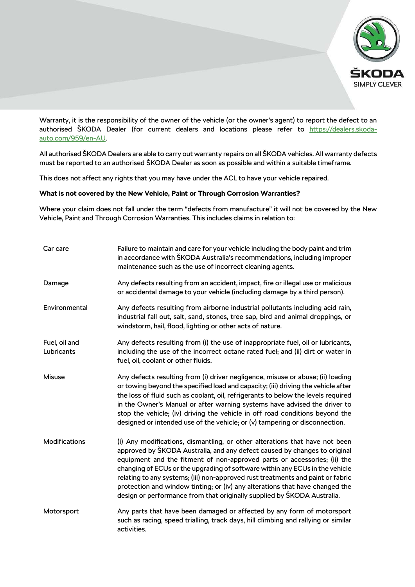

Warranty, it is the responsibility of the owner of the vehicle (or the owner's agent) to report the defect to an authorised ŠKODA Dealer (for current dealers and locations please refer to [https://dealers.skoda](https://dealers.skoda-auto.com/959/en-AU)[auto.com/959/en-AU.](https://dealers.skoda-auto.com/959/en-AU)

All authorised ŠKODA Dealers are able to carry out warranty repairs on all ŠKODA vehicles. All warranty defects must be reported to an authorised ŠKODA Dealer as soon as possible and within a suitable timeframe.

This does not affect any rights that you may have under the ACL to have your vehicle repaired.

# **What is not covered by the New Vehicle, Paint or Through Corrosion Warranties?**

Where your claim does not fall under the term "defects from manufacture" it will not be covered by the New Vehicle, Paint and Through Corrosion Warranties. This includes claims in relation to:

| Car care                    | Failure to maintain and care for your vehicle including the body paint and trim<br>in accordance with ŠKODA Australia's recommendations, including improper<br>maintenance such as the use of incorrect cleaning agents.                                                                                                                                                                                                                                                                                                                                           |
|-----------------------------|--------------------------------------------------------------------------------------------------------------------------------------------------------------------------------------------------------------------------------------------------------------------------------------------------------------------------------------------------------------------------------------------------------------------------------------------------------------------------------------------------------------------------------------------------------------------|
| Damage                      | Any defects resulting from an accident, impact, fire or illegal use or malicious<br>or accidental damage to your vehicle (including damage by a third person).                                                                                                                                                                                                                                                                                                                                                                                                     |
| Environmental               | Any defects resulting from airborne industrial pollutants including acid rain,<br>industrial fall out, salt, sand, stones, tree sap, bird and animal droppings, or<br>windstorm, hail, flood, lighting or other acts of nature.                                                                                                                                                                                                                                                                                                                                    |
| Fuel, oil and<br>Lubricants | Any defects resulting from (i) the use of inappropriate fuel, oil or lubricants,<br>including the use of the incorrect octane rated fuel; and (ii) dirt or water in<br>fuel, oil, coolant or other fluids.                                                                                                                                                                                                                                                                                                                                                         |
| Misuse                      | Any defects resulting from (i) driver negligence, misuse or abuse; (ii) loading<br>or towing beyond the specified load and capacity; (iii) driving the vehicle after<br>the loss of fluid such as coolant, oil, refrigerants to below the levels required<br>in the Owner's Manual or after warning systems have advised the driver to<br>stop the vehicle; (iv) driving the vehicle in off road conditions beyond the<br>designed or intended use of the vehicle; or (v) tampering or disconnection.                                                              |
| Modifications               | (i) Any modifications, dismantling, or other alterations that have not been<br>approved by ŠKODA Australia, and any defect caused by changes to original<br>equipment and the fitment of non-approved parts or accessories; (ii) the<br>changing of ECUs or the upgrading of software within any ECUs in the vehicle<br>relating to any systems; (iii) non-approved rust treatments and paint or fabric<br>protection and window tinting; or (iv) any alterations that have changed the<br>design or performance from that originally supplied by ŠKODA Australia. |
| Motorsport                  | Any parts that have been damaged or affected by any form of motorsport<br>such as racing, speed trialling, track days, hill climbing and rallying or similar<br>activities.                                                                                                                                                                                                                                                                                                                                                                                        |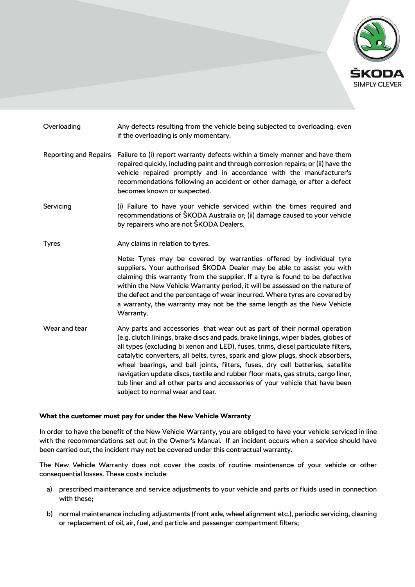

- Overloading Any defects resulting from the vehicle being subjected to overloading, even if the overloading is only momentary.
- Reporting and Repairs Failure to (i) report warranty defects within a timely manner and have them repaired quickly, including paint and through corrosion repairs; or (ii) have the vehicle repaired promptly and in accordance with the manufacturer's recommendations following an accident or other damage, or after a defect becomes known or suspected.
- Servicing (i) Failure to have your vehicle serviced within the times required and recommendations of ŠKODA Australia or; (ii) damage caused to your vehicle by repairers who are not ŠKODA Dealers.
- Tyres **Any claims in relation to tyres.**

Note: Tyres may be covered by warranties offered by individual tyre suppliers. Your authorised ŠKODA Dealer may be able to assist you with claiming this warranty from the supplier. If a tyre is found to be defective within the New Vehicle Warranty period, it will be assessed on the nature of the defect and the percentage of wear incurred. Where tyres are covered by a warranty, the warranty may not be the same length as the New Vehicle Warranty.

Wear and tear Any parts and accessories that wear out as part of their normal operation (e.g. clutch linings, brake discs and pads, brake linings, wiper blades, globes of all types (excluding bi xenon and LED), fuses, trims, diesel particulate filters, catalytic converters, all belts, tyres, spark and glow plugs, shock absorbers, wheel bearings, and ball joints, filters, fuses, dry cell batteries, satellite navigation update discs, textile and rubber floor mats, gas struts, cargo liner, tub liner and all other parts and accessories of your vehicle that have been subject to normal wear and tear.

#### **What the customer must pay for under the New Vehicle Warranty**

In order to have the benefit of the New Vehicle Warranty, you are obliged to have your vehicle serviced in line with the recommendations set out in the Owner's Manual. If an incident occurs when a service should have been carried out, the incident may not be covered under this contractual warranty.

The New Vehicle Warranty does not cover the costs of routine maintenance of your vehicle or other consequential losses. These costs include:

- a) prescribed maintenance and service adjustments to your vehicle and parts or fluids used in connection with these;
- b) normal maintenance including adjustments (front axle, wheel alignment etc.), periodic servicing, cleaning or replacement of oil, air, fuel, and particle and passenger compartment filters;